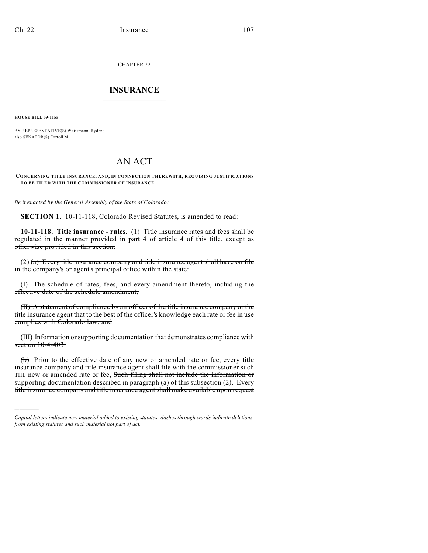CHAPTER 22

## $\overline{\phantom{a}}$  . The set of the set of the set of the set of the set of the set of the set of the set of the set of the set of the set of the set of the set of the set of the set of the set of the set of the set of the set o **INSURANCE**  $\frac{1}{2}$  ,  $\frac{1}{2}$  ,  $\frac{1}{2}$  ,  $\frac{1}{2}$  ,  $\frac{1}{2}$  ,  $\frac{1}{2}$  ,  $\frac{1}{2}$

**HOUSE BILL 09-1155**

)))))

BY REPRESENTATIVE(S) Weissmann, Ryden; also SENATOR(S) Carroll M.

## AN ACT

## **CONCERNING TITLE INSURANCE, AND, IN CONNECTION THEREWITH, REQUIRING JUSTIFICATIONS TO BE FILED WITH THE COMMISSIONER OF INSURANCE.**

*Be it enacted by the General Assembly of the State of Colorado:*

**SECTION 1.** 10-11-118, Colorado Revised Statutes, is amended to read:

**10-11-118. Title insurance - rules.** (1) Title insurance rates and fees shall be regulated in the manner provided in part 4 of article 4 of this title. except as otherwise provided in this section.

 $(2)$  (a) Every title insurance company and title insurance agent shall have on file in the company's or agent's principal office within the state:

(I) The schedule of rates, fees, and every amendment thereto, including the effective date of the schedule amendment;

(II) A statement of compliance by an officer of the title insurance company or the title insurance agent that to the best of the officer's knowledge each rate or fee in use complies with Colorado law; and

(III) Information or supporting documentation that demonstrates compliance with section 10-4-403.

(b) Prior to the effective date of any new or amended rate or fee, every title insurance company and title insurance agent shall file with the commissioner such THE new or amended rate or fee, Such filing shall not include the information or supporting documentation described in paragraph (a) of this subsection (2). Every title insurance company and title insurance agent shall make available upon request

*Capital letters indicate new material added to existing statutes; dashes through words indicate deletions from existing statutes and such material not part of act.*